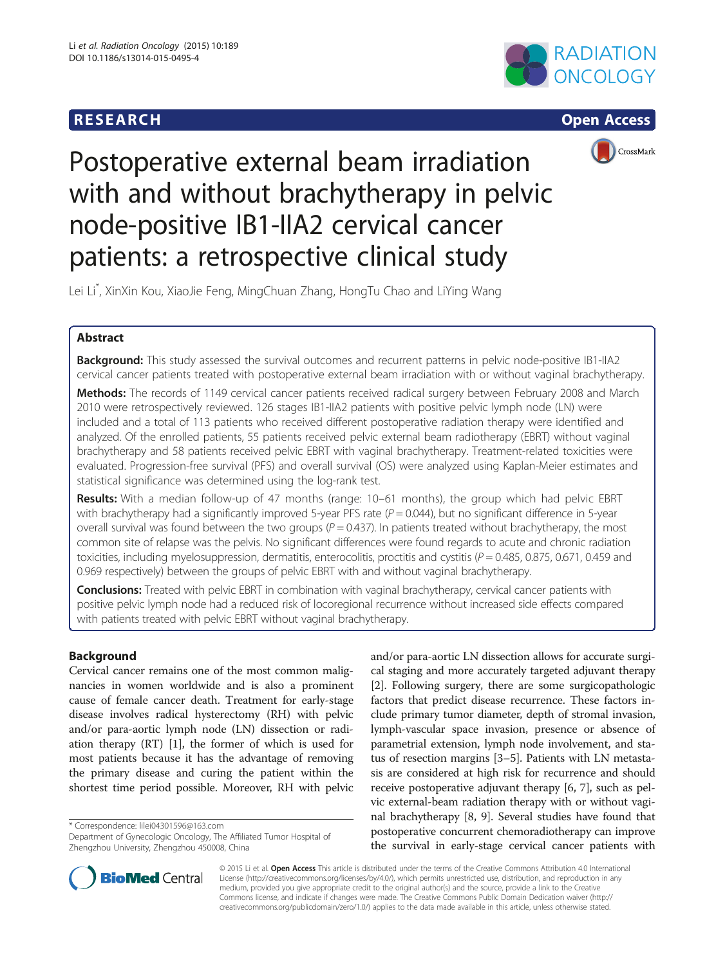





# Postoperative external beam irradiation with and without brachytherapy in pelvic node-positive IB1-IIA2 cervical cancer patients: a retrospective clinical study

Lei Li\* , XinXin Kou, XiaoJie Feng, MingChuan Zhang, HongTu Chao and LiYing Wang

# Abstract

Background: This study assessed the survival outcomes and recurrent patterns in pelvic node-positive IB1-IIA2 cervical cancer patients treated with postoperative external beam irradiation with or without vaginal brachytherapy.

Methods: The records of 1149 cervical cancer patients received radical surgery between February 2008 and March 2010 were retrospectively reviewed. 126 stages IB1-IIA2 patients with positive pelvic lymph node (LN) were included and a total of 113 patients who received different postoperative radiation therapy were identified and analyzed. Of the enrolled patients, 55 patients received pelvic external beam radiotherapy (EBRT) without vaginal brachytherapy and 58 patients received pelvic EBRT with vaginal brachytherapy. Treatment-related toxicities were evaluated. Progression-free survival (PFS) and overall survival (OS) were analyzed using Kaplan-Meier estimates and statistical significance was determined using the log-rank test.

Results: With a median follow-up of 47 months (range: 10-61 months), the group which had pelvic EBRT with brachytherapy had a significantly improved 5-year PFS rate  $(P = 0.044)$ , but no significant difference in 5-year overall survival was found between the two groups ( $P = 0.437$ ). In patients treated without brachytherapy, the most common site of relapse was the pelvis. No significant differences were found regards to acute and chronic radiation toxicities, including myelosuppression, dermatitis, enterocolitis, proctitis and cystitis  $(P = 0.485, 0.875, 0.671, 0.459$  and 0.969 respectively) between the groups of pelvic EBRT with and without vaginal brachytherapy.

Conclusions: Treated with pelvic EBRT in combination with vaginal brachytherapy, cervical cancer patients with positive pelvic lymph node had a reduced risk of locoregional recurrence without increased side effects compared with patients treated with pelvic EBRT without vaginal brachytherapy.

# Background

Cervical cancer remains one of the most common malignancies in women worldwide and is also a prominent cause of female cancer death. Treatment for early-stage disease involves radical hysterectomy (RH) with pelvic and/or para-aortic lymph node (LN) dissection or radiation therapy (RT) [[1\]](#page-5-0), the former of which is used for most patients because it has the advantage of removing the primary disease and curing the patient within the shortest time period possible. Moreover, RH with pelvic

\* Correspondence: [lilei04301596@163.com](mailto:lilei04301596@163.com)

and/or para-aortic LN dissection allows for accurate surgical staging and more accurately targeted adjuvant therapy [[2\]](#page-5-0). Following surgery, there are some surgicopathologic factors that predict disease recurrence. These factors include primary tumor diameter, depth of stromal invasion, lymph-vascular space invasion, presence or absence of parametrial extension, lymph node involvement, and status of resection margins [[3](#page-5-0)–[5](#page-5-0)]. Patients with LN metastasis are considered at high risk for recurrence and should receive postoperative adjuvant therapy [\[6](#page-5-0), [7](#page-5-0)], such as pelvic external-beam radiation therapy with or without vaginal brachytherapy [[8](#page-5-0), [9](#page-5-0)]. Several studies have found that postoperative concurrent chemoradiotherapy can improve the survival in early-stage cervical cancer patients with



© 2015 Li et al. Open Access This article is distributed under the terms of the Creative Commons Attribution 4.0 International License ([http://creativecommons.org/licenses/by/4.0/\)](http://creativecommons.org/licenses/by/4.0/), which permits unrestricted use, distribution, and reproduction in any medium, provided you give appropriate credit to the original author(s) and the source, provide a link to the Creative Commons license, and indicate if changes were made. The Creative Commons Public Domain Dedication waiver ([http://](http://creativecommons.org/publicdomain/zero/1.0/) [creativecommons.org/publicdomain/zero/1.0/\)](http://creativecommons.org/publicdomain/zero/1.0/) applies to the data made available in this article, unless otherwise stated.

Department of Gynecologic Oncology, The Affiliated Tumor Hospital of Zhengzhou University, Zhengzhou 450008, China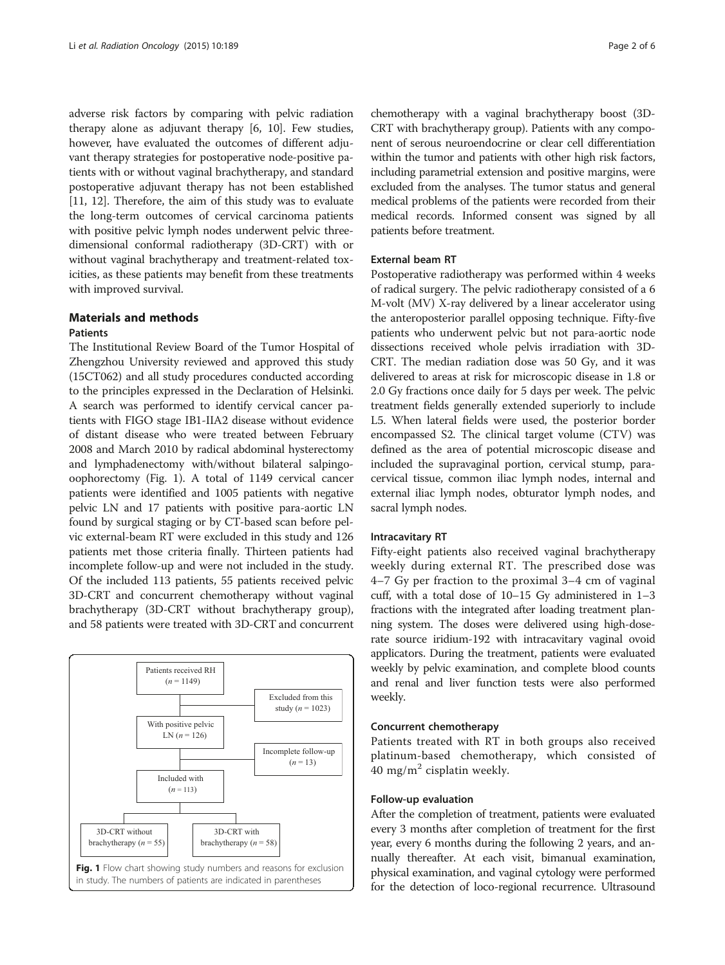adverse risk factors by comparing with pelvic radiation therapy alone as adjuvant therapy [\[6, 10](#page-5-0)]. Few studies, however, have evaluated the outcomes of different adjuvant therapy strategies for postoperative node-positive patients with or without vaginal brachytherapy, and standard postoperative adjuvant therapy has not been established [[11](#page-5-0), [12\]](#page-5-0). Therefore, the aim of this study was to evaluate the long-term outcomes of cervical carcinoma patients with positive pelvic lymph nodes underwent pelvic threedimensional conformal radiotherapy (3D-CRT) with or without vaginal brachytherapy and treatment-related toxicities, as these patients may benefit from these treatments with improved survival.

# Materials and methods **Patients**

The Institutional Review Board of the Tumor Hospital of Zhengzhou University reviewed and approved this study (15CT062) and all study procedures conducted according to the principles expressed in the Declaration of Helsinki. A search was performed to identify cervical cancer patients with FIGO stage IB1-IIA2 disease without evidence of distant disease who were treated between February 2008 and March 2010 by radical abdominal hysterectomy and lymphadenectomy with/without bilateral salpingooophorectomy (Fig. 1). A total of 1149 cervical cancer patients were identified and 1005 patients with negative pelvic LN and 17 patients with positive para-aortic LN found by surgical staging or by CT-based scan before pelvic external-beam RT were excluded in this study and 126 patients met those criteria finally. Thirteen patients had incomplete follow-up and were not included in the study. Of the included 113 patients, 55 patients received pelvic 3D-CRT and concurrent chemotherapy without vaginal brachytherapy (3D-CRT without brachytherapy group), and 58 patients were treated with 3D-CRT and concurrent



chemotherapy with a vaginal brachytherapy boost (3D-CRT with brachytherapy group). Patients with any component of serous neuroendocrine or clear cell differentiation within the tumor and patients with other high risk factors, including parametrial extension and positive margins, were excluded from the analyses. The tumor status and general medical problems of the patients were recorded from their medical records. Informed consent was signed by all patients before treatment.

# External beam RT

Postoperative radiotherapy was performed within 4 weeks of radical surgery. The pelvic radiotherapy consisted of a 6 M-volt (MV) X-ray delivered by a linear accelerator using the anteroposterior parallel opposing technique. Fifty-five patients who underwent pelvic but not para-aortic node dissections received whole pelvis irradiation with 3D-CRT. The median radiation dose was 50 Gy, and it was delivered to areas at risk for microscopic disease in 1.8 or 2.0 Gy fractions once daily for 5 days per week. The pelvic treatment fields generally extended superiorly to include L5. When lateral fields were used, the posterior border encompassed S2. The clinical target volume (CTV) was defined as the area of potential microscopic disease and included the supravaginal portion, cervical stump, paracervical tissue, common iliac lymph nodes, internal and external iliac lymph nodes, obturator lymph nodes, and sacral lymph nodes.

## Intracavitary RT

Fifty-eight patients also received vaginal brachytherapy weekly during external RT. The prescribed dose was 4–7 Gy per fraction to the proximal 3–4 cm of vaginal cuff, with a total dose of 10–15 Gy administered in 1–3 fractions with the integrated after loading treatment planning system. The doses were delivered using high-doserate source iridium-192 with intracavitary vaginal ovoid applicators. During the treatment, patients were evaluated weekly by pelvic examination, and complete blood counts and renal and liver function tests were also performed weekly.

# Concurrent chemotherapy

Patients treated with RT in both groups also received platinum-based chemotherapy, which consisted of 40 mg/m<sup>2</sup> cisplatin weekly.

#### Follow-up evaluation

After the completion of treatment, patients were evaluated every 3 months after completion of treatment for the first year, every 6 months during the following 2 years, and annually thereafter. At each visit, bimanual examination, physical examination, and vaginal cytology were performed for the detection of loco-regional recurrence. Ultrasound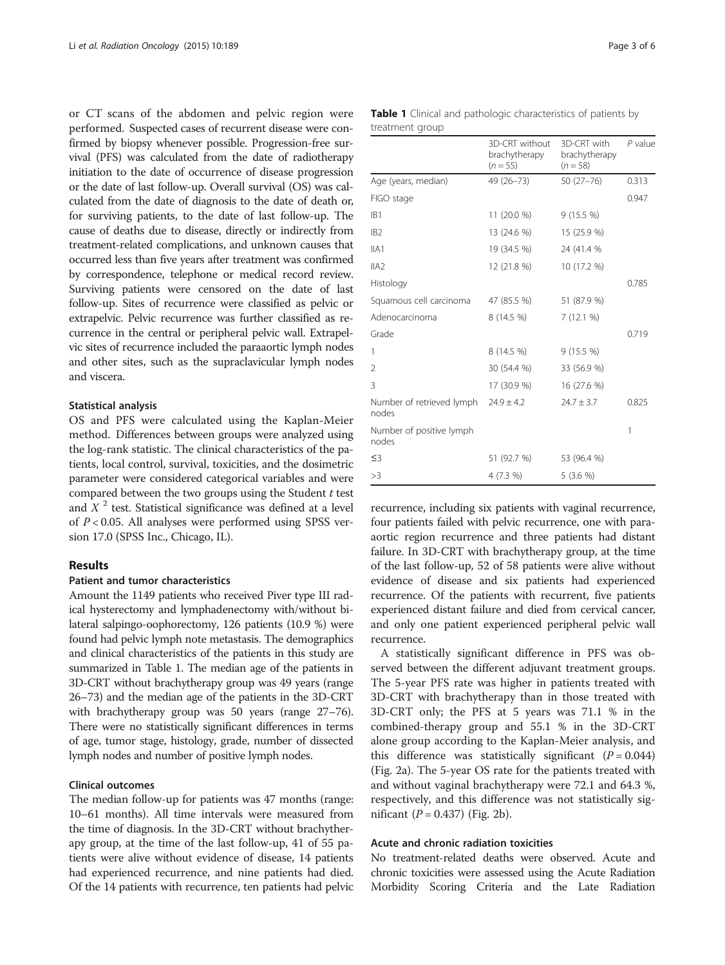or CT scans of the abdomen and pelvic region were performed. Suspected cases of recurrent disease were confirmed by biopsy whenever possible. Progression-free survival (PFS) was calculated from the date of radiotherapy initiation to the date of occurrence of disease progression or the date of last follow-up. Overall survival (OS) was calculated from the date of diagnosis to the date of death or, for surviving patients, to the date of last follow-up. The cause of deaths due to disease, directly or indirectly from treatment-related complications, and unknown causes that occurred less than five years after treatment was confirmed by correspondence, telephone or medical record review. Surviving patients were censored on the date of last follow-up. Sites of recurrence were classified as pelvic or extrapelvic. Pelvic recurrence was further classified as recurrence in the central or peripheral pelvic wall. Extrapelvic sites of recurrence included the paraaortic lymph nodes and other sites, such as the supraclavicular lymph nodes and viscera.

# Statistical analysis

OS and PFS were calculated using the Kaplan-Meier method. Differences between groups were analyzed using the log-rank statistic. The clinical characteristics of the patients, local control, survival, toxicities, and the dosimetric parameter were considered categorical variables and were compared between the two groups using the Student  $t$  test and  $X<sup>2</sup>$  test. Statistical significance was defined at a level of  $P < 0.05$ . All analyses were performed using SPSS version 17.0 (SPSS Inc., Chicago, IL).

# **Results**

# Patient and tumor characteristics

Amount the 1149 patients who received Piver type III radical hysterectomy and lymphadenectomy with/without bilateral salpingo-oophorectomy, 126 patients (10.9 %) were found had pelvic lymph note metastasis. The demographics and clinical characteristics of the patients in this study are summarized in Table 1. The median age of the patients in 3D-CRT without brachytherapy group was 49 years (range 26–73) and the median age of the patients in the 3D-CRT with brachytherapy group was 50 years (range 27–76). There were no statistically significant differences in terms of age, tumor stage, histology, grade, number of dissected lymph nodes and number of positive lymph nodes.

# Clinical outcomes

The median follow-up for patients was 47 months (range: 10–61 months). All time intervals were measured from the time of diagnosis. In the 3D-CRT without brachytherapy group, at the time of the last follow-up, 41 of 55 patients were alive without evidence of disease, 14 patients had experienced recurrence, and nine patients had died. Of the 14 patients with recurrence, ten patients had pelvic

|                 |  | <b>Table 1</b> Clinical and pathologic characteristics of patients by |  |  |
|-----------------|--|-----------------------------------------------------------------------|--|--|
| treatment group |  |                                                                       |  |  |

|                                    | 3D-CRT without<br>brachytherapy<br>$(n = 55)$ | 3D-CRT with<br>brachytherapy<br>$(n = 58)$ | $P$ value |
|------------------------------------|-----------------------------------------------|--------------------------------------------|-----------|
| Age (years, median)                | 49 (26-73)                                    | $50(27-76)$                                | 0.313     |
| FIGO stage                         |                                               |                                            | 0.947     |
| IB <sub>1</sub>                    | 11 $(20.0 %)$                                 | $9(15.5\%)$                                |           |
| IB <sub>2</sub>                    | 13 (24.6 %)                                   | 15 (25.9 %)                                |           |
| IIA1                               | 19 (34.5 %)                                   | 24 (41.4 %                                 |           |
| IIA <sub>2</sub>                   | 12 (21.8 %)                                   | 10 (17.2 %)                                |           |
| Histology                          |                                               |                                            | 0.785     |
| Squamous cell carcinoma            | 47 (85.5 %)                                   | 51 (87.9 %)                                |           |
| Adenocarcinoma                     | 8 (14.5 %)                                    | 7(12.1%                                    |           |
| Grade                              |                                               |                                            | 0.719     |
| 1                                  | 8 (14.5 %)                                    | $9(15.5\%)$                                |           |
| 2                                  | 30 (54.4 %)                                   | 33 (56.9 %)                                |           |
| 3                                  | 17 (30.9 %)                                   | 16 (27.6 %)                                |           |
| Number of retrieved lymph<br>nodes | $74.9 + 4.7$                                  | $24.7 \pm 3.7$                             | 0.825     |
| Number of positive lymph<br>nodes  |                                               |                                            | 1         |
| $\leq$ 3                           | 51 (92.7 %)                                   | 53 (96.4 %)                                |           |
| >3                                 | 4 (7.3 %)                                     | $5(3.6\%)$                                 |           |

recurrence, including six patients with vaginal recurrence, four patients failed with pelvic recurrence, one with paraaortic region recurrence and three patients had distant failure. In 3D-CRT with brachytherapy group, at the time of the last follow-up, 52 of 58 patients were alive without evidence of disease and six patients had experienced recurrence. Of the patients with recurrent, five patients experienced distant failure and died from cervical cancer, and only one patient experienced peripheral pelvic wall recurrence.

A statistically significant difference in PFS was observed between the different adjuvant treatment groups. The 5-year PFS rate was higher in patients treated with 3D-CRT with brachytherapy than in those treated with 3D-CRT only; the PFS at 5 years was 71.1 % in the combined-therapy group and 55.1 % in the 3D-CRT alone group according to the Kaplan-Meier analysis, and this difference was statistically significant  $(P = 0.044)$ (Fig. [2a\)](#page-3-0). The 5-year OS rate for the patients treated with and without vaginal brachytherapy were 72.1 and 64.3 %, respectively, and this difference was not statistically significant ( $P = 0.437$ ) (Fig. [2b](#page-3-0)).

# Acute and chronic radiation toxicities

No treatment-related deaths were observed. Acute and chronic toxicities were assessed using the Acute Radiation Morbidity Scoring Criteria and the Late Radiation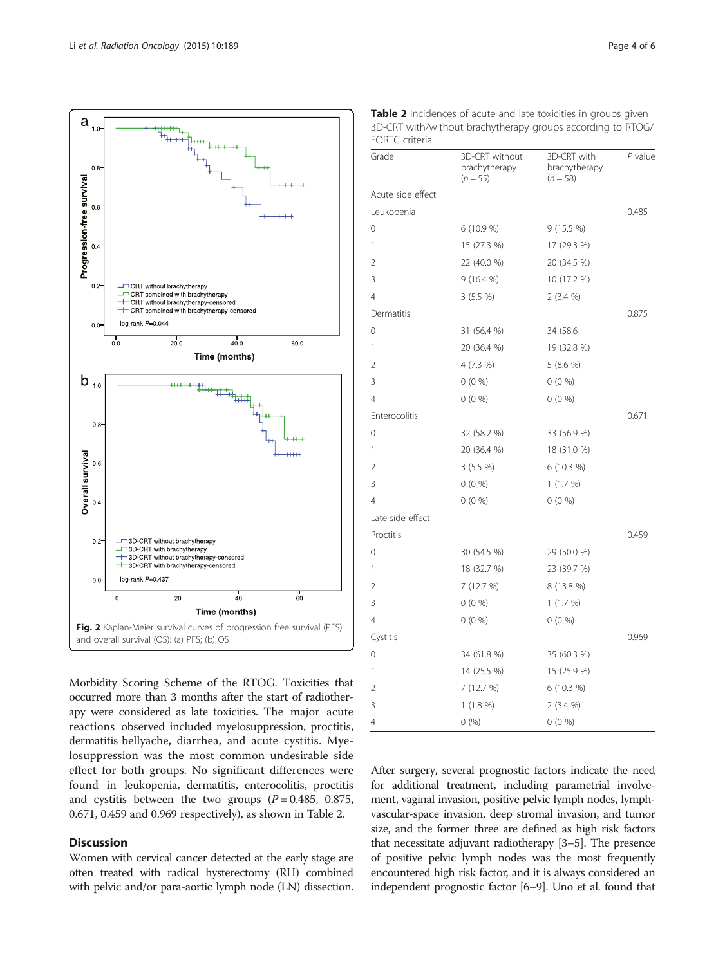<span id="page-3-0"></span>

| <b>Table 2</b> Incidences of acute and late toxicities in groups given |
|------------------------------------------------------------------------|
| 3D-CRT with/without brachytherapy groups according to RTOG/            |
| FORTC criteria                                                         |

| Grade             | 3D-CRT without<br>brachytherapy<br>$(n = 55)$ | 3D-CRT with<br>brachytherapy<br>$(n = 58)$ | P value |
|-------------------|-----------------------------------------------|--------------------------------------------|---------|
| Acute side effect |                                               |                                            |         |
| Leukopenia        |                                               |                                            | 0.485   |
| 0                 | 6 (10.9 %)                                    | $9(15.5\%)$                                |         |
| 1                 | 15 (27.3 %)                                   | 17 (29.3 %)                                |         |
| $\overline{2}$    | 22 (40.0 %)                                   | 20 (34.5 %)                                |         |
| 3                 | 9(16.4%                                       | 10 (17.2 %)                                |         |
| 4                 | $3(5.5\%)$                                    | $2(3.4\%)$                                 |         |
| Dermatitis        |                                               |                                            | 0.875   |
| 0                 | 31 (56.4 %)                                   | 34 (58.6)                                  |         |
| 1                 | 20 (36.4 %)                                   | 19 (32.8 %)                                |         |
| $\overline{2}$    | 4 (7.3 %)                                     | 5(8.6%)                                    |         |
| 3                 | $0(0\%)$                                      | $0(0\%)$                                   |         |
| 4                 | $0(0\%)$                                      | $0(0\%)$                                   |         |
| Enterocolitis     |                                               |                                            | 0.671   |
| 0                 | 32 (58.2 %)                                   | 33 (56.9 %)                                |         |
| 1                 | 20 (36.4 %)                                   | 18 (31.0 %)                                |         |
| $\overline{2}$    | 3(5.5%)                                       | 6 (10.3 %)                                 |         |
| 3                 | $0(0\%)$                                      | 1(1.7%)                                    |         |
| 4                 | $0(0\%)$                                      | $0(0\%)$                                   |         |
| Late side effect  |                                               |                                            |         |
| Proctitis         |                                               |                                            | 0.459   |
| 0                 | 30 (54.5 %)                                   | 29 (50.0 %)                                |         |
| $\mathbf{1}$      | 18 (32.7 %)                                   | 23 (39.7 %)                                |         |
| $\mathfrak{D}$    | 7 (12.7 %)                                    | 8 (13.8 %)                                 |         |
| 3                 | $0(0\%)$                                      | 1(1.7%)                                    |         |
| $\overline{4}$    | $0(0\%)$                                      | $0(0\%)$                                   |         |
| Cystitis          |                                               |                                            | 0.969   |
| 0                 | 34 (61.8 %)                                   | 35 (60.3 %)                                |         |
| 1                 | 14 (25.5 %)                                   | 15 (25.9 %)                                |         |
| $\overline{2}$    | 7 (12.7 %)                                    | $6(10.3\%)$                                |         |
| 3                 | $1(1.8\%)$                                    | 2(3.4%                                     |         |
| 4                 | 0(%)                                          | $0(0\%)$                                   |         |

Morbidity Scoring Scheme of the RTOG. Toxicities that occurred more than 3 months after the start of radiotherapy were considered as late toxicities. The major acute reactions observed included myelosuppression, proctitis, dermatitis bellyache, diarrhea, and acute cystitis. Myelosuppression was the most common undesirable side effect for both groups. No significant differences were found in leukopenia, dermatitis, enterocolitis, proctitis and cystitis between the two groups  $(P = 0.485, 0.875,$ 0.671, 0.459 and 0.969 respectively), as shown in Table 2.

# **Discussion**

Women with cervical cancer detected at the early stage are often treated with radical hysterectomy (RH) combined with pelvic and/or para-aortic lymph node (LN) dissection. After surgery, several prognostic factors indicate the need for additional treatment, including parametrial involvement, vaginal invasion, positive pelvic lymph nodes, lymphvascular-space invasion, deep stromal invasion, and tumor size, and the former three are defined as high risk factors that necessitate adjuvant radiotherapy [\[3](#page-5-0)–[5\]](#page-5-0). The presence of positive pelvic lymph nodes was the most frequently encountered high risk factor, and it is always considered an independent prognostic factor [\[6](#page-5-0)–[9](#page-5-0)]. Uno et al. found that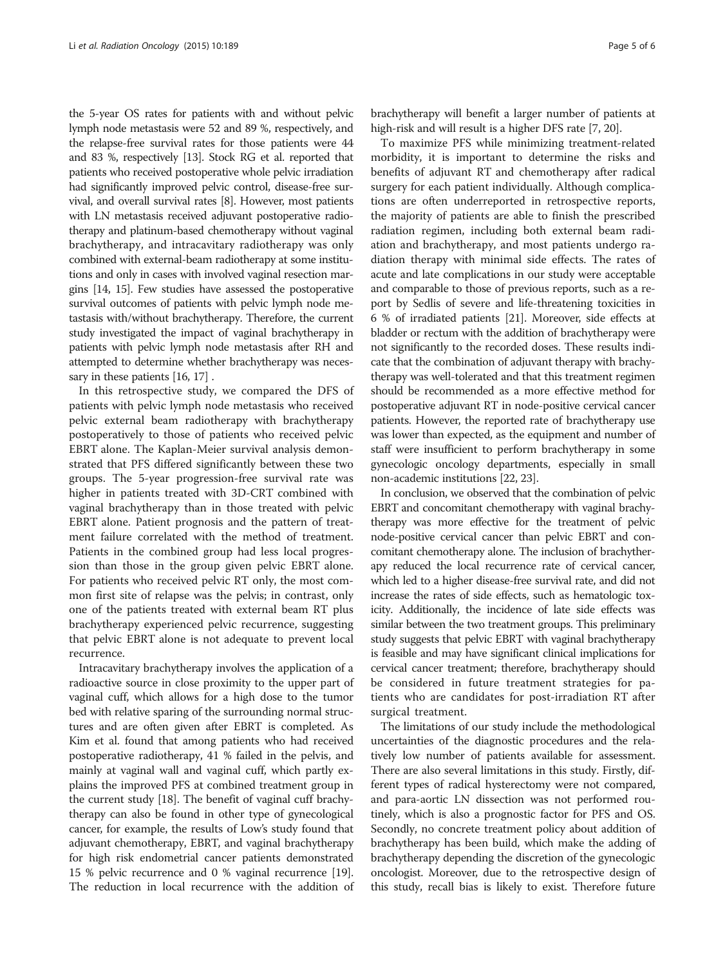the 5-year OS rates for patients with and without pelvic lymph node metastasis were 52 and 89 %, respectively, and the relapse-free survival rates for those patients were 44 and 83 %, respectively [\[13\]](#page-5-0). Stock RG et al. reported that patients who received postoperative whole pelvic irradiation had significantly improved pelvic control, disease-free survival, and overall survival rates [\[8\]](#page-5-0). However, most patients with LN metastasis received adjuvant postoperative radiotherapy and platinum-based chemotherapy without vaginal brachytherapy, and intracavitary radiotherapy was only combined with external-beam radiotherapy at some institutions and only in cases with involved vaginal resection margins [\[14, 15](#page-5-0)]. Few studies have assessed the postoperative survival outcomes of patients with pelvic lymph node metastasis with/without brachytherapy. Therefore, the current study investigated the impact of vaginal brachytherapy in patients with pelvic lymph node metastasis after RH and attempted to determine whether brachytherapy was neces-sary in these patients [[16](#page-5-0), [17](#page-5-0)].

In this retrospective study, we compared the DFS of patients with pelvic lymph node metastasis who received pelvic external beam radiotherapy with brachytherapy postoperatively to those of patients who received pelvic EBRT alone. The Kaplan-Meier survival analysis demonstrated that PFS differed significantly between these two groups. The 5-year progression-free survival rate was higher in patients treated with 3D-CRT combined with vaginal brachytherapy than in those treated with pelvic EBRT alone. Patient prognosis and the pattern of treatment failure correlated with the method of treatment. Patients in the combined group had less local progression than those in the group given pelvic EBRT alone. For patients who received pelvic RT only, the most common first site of relapse was the pelvis; in contrast, only one of the patients treated with external beam RT plus brachytherapy experienced pelvic recurrence, suggesting that pelvic EBRT alone is not adequate to prevent local recurrence.

Intracavitary brachytherapy involves the application of a radioactive source in close proximity to the upper part of vaginal cuff, which allows for a high dose to the tumor bed with relative sparing of the surrounding normal structures and are often given after EBRT is completed. As Kim et al. found that among patients who had received postoperative radiotherapy, 41 % failed in the pelvis, and mainly at vaginal wall and vaginal cuff, which partly explains the improved PFS at combined treatment group in the current study [[18](#page-5-0)]. The benefit of vaginal cuff brachytherapy can also be found in other type of gynecological cancer, for example, the results of Low's study found that adjuvant chemotherapy, EBRT, and vaginal brachytherapy for high risk endometrial cancer patients demonstrated 15 % pelvic recurrence and 0 % vaginal recurrence [[19](#page-5-0)]. The reduction in local recurrence with the addition of

brachytherapy will benefit a larger number of patients at high-risk and will result is a higher DFS rate [[7, 20\]](#page-5-0).

To maximize PFS while minimizing treatment-related morbidity, it is important to determine the risks and benefits of adjuvant RT and chemotherapy after radical surgery for each patient individually. Although complications are often underreported in retrospective reports, the majority of patients are able to finish the prescribed radiation regimen, including both external beam radiation and brachytherapy, and most patients undergo radiation therapy with minimal side effects. The rates of acute and late complications in our study were acceptable and comparable to those of previous reports, such as a report by Sedlis of severe and life-threatening toxicities in 6 % of irradiated patients [\[21\]](#page-5-0). Moreover, side effects at bladder or rectum with the addition of brachytherapy were not significantly to the recorded doses. These results indicate that the combination of adjuvant therapy with brachytherapy was well-tolerated and that this treatment regimen should be recommended as a more effective method for postoperative adjuvant RT in node-positive cervical cancer patients. However, the reported rate of brachytherapy use was lower than expected, as the equipment and number of staff were insufficient to perform brachytherapy in some gynecologic oncology departments, especially in small non-academic institutions [[22](#page-5-0), [23](#page-5-0)].

In conclusion, we observed that the combination of pelvic EBRT and concomitant chemotherapy with vaginal brachytherapy was more effective for the treatment of pelvic node-positive cervical cancer than pelvic EBRT and concomitant chemotherapy alone. The inclusion of brachytherapy reduced the local recurrence rate of cervical cancer, which led to a higher disease-free survival rate, and did not increase the rates of side effects, such as hematologic toxicity. Additionally, the incidence of late side effects was similar between the two treatment groups. This preliminary study suggests that pelvic EBRT with vaginal brachytherapy is feasible and may have significant clinical implications for cervical cancer treatment; therefore, brachytherapy should be considered in future treatment strategies for patients who are candidates for post-irradiation RT after surgical treatment.

The limitations of our study include the methodological uncertainties of the diagnostic procedures and the relatively low number of patients available for assessment. There are also several limitations in this study. Firstly, different types of radical hysterectomy were not compared, and para-aortic LN dissection was not performed routinely, which is also a prognostic factor for PFS and OS. Secondly, no concrete treatment policy about addition of brachytherapy has been build, which make the adding of brachytherapy depending the discretion of the gynecologic oncologist. Moreover, due to the retrospective design of this study, recall bias is likely to exist. Therefore future